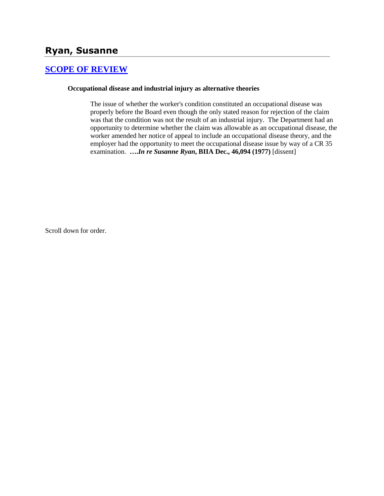# **Ryan, Susanne**

## **[SCOPE OF REVIEW](http://www.biia.wa.gov/SDSubjectIndex.html#SCOPE_OF_REVIEW)**

#### **Occupational disease and industrial injury as alternative theories**

The issue of whether the worker's condition constituted an occupational disease was properly before the Board even though the only stated reason for rejection of the claim was that the condition was not the result of an industrial injury. The Department had an opportunity to determine whether the claim was allowable as an occupational disease, the worker amended her notice of appeal to include an occupational disease theory, and the employer had the opportunity to meet the occupational disease issue by way of a CR 35 examination. **….***In re Susanne Ryan***, BIIA Dec., 46,094 (1977)** [dissent]

Scroll down for order.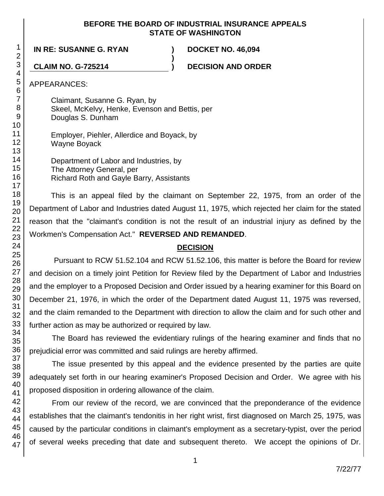### **BEFORE THE BOARD OF INDUSTRIAL INSURANCE APPEALS STATE OF WASHINGTON**

**)**

**IN RE: SUSANNE G. RYAN ) DOCKET NO. 46,094**

**CLAIM NO. G-725214 ) DECISION AND ORDER**

APPEARANCES:

Claimant, Susanne G. Ryan, by Skeel, McKelvy, Henke, Evenson and Bettis, per Douglas S. Dunham

Employer, Piehler, Allerdice and Boyack, by Wayne Boyack

Department of Labor and Industries, by The Attorney General, per Richard Roth and Gayle Barry, Assistants

This is an appeal filed by the claimant on September 22, 1975, from an order of the Department of Labor and Industries dated August 11, 1975, which rejected her claim for the stated reason that the "claimant's condition is not the result of an industrial injury as defined by the Workmen's Compensation Act." **REVERSED AND REMANDED**.

# **DECISION**

Pursuant to RCW 51.52.104 and RCW 51.52.106, this matter is before the Board for review and decision on a timely joint Petition for Review filed by the Department of Labor and Industries and the employer to a Proposed Decision and Order issued by a hearing examiner for this Board on December 21, 1976, in which the order of the Department dated August 11, 1975 was reversed, and the claim remanded to the Department with direction to allow the claim and for such other and further action as may be authorized or required by law.

The Board has reviewed the evidentiary rulings of the hearing examiner and finds that no prejudicial error was committed and said rulings are hereby affirmed.

The issue presented by this appeal and the evidence presented by the parties are quite adequately set forth in our hearing examiner's Proposed Decision and Order. We agree with his proposed disposition in ordering allowance of the claim.

From our review of the record, we are convinced that the preponderance of the evidence establishes that the claimant's tendonitis in her right wrist, first diagnosed on March 25, 1975, was caused by the particular conditions in claimant's employment as a secretary-typist, over the period of several weeks preceding that date and subsequent thereto. We accept the opinions of Dr.

1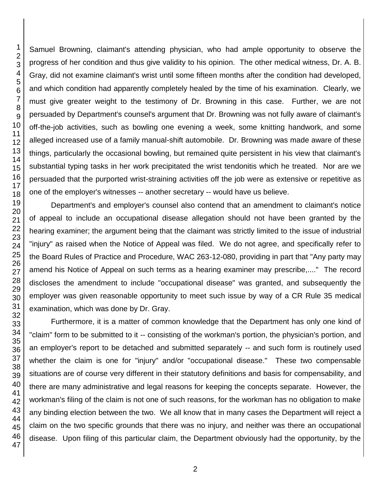Samuel Browning, claimant's attending physician, who had ample opportunity to observe the progress of her condition and thus give validity to his opinion. The other medical witness, Dr. A. B. Gray, did not examine claimant's wrist until some fifteen months after the condition had developed, and which condition had apparently completely healed by the time of his examination. Clearly, we must give greater weight to the testimony of Dr. Browning in this case. Further, we are not persuaded by Department's counsel's argument that Dr. Browning was not fully aware of claimant's off-the-job activities, such as bowling one evening a week, some knitting handwork, and some alleged increased use of a family manual-shift automobile. Dr. Browning was made aware of these things, particularly the occasional bowling, but remained quite persistent in his view that claimant's substantial typing tasks in her work precipitated the wrist tendonitis which he treated. Nor are we persuaded that the purported wrist-straining activities off the job were as extensive or repetitive as one of the employer's witnesses -- another secretary -- would have us believe.

Department's and employer's counsel also contend that an amendment to claimant's notice of appeal to include an occupational disease allegation should not have been granted by the hearing examiner; the argument being that the claimant was strictly limited to the issue of industrial "injury" as raised when the Notice of Appeal was filed. We do not agree, and specifically refer to the Board Rules of Practice and Procedure, WAC 263-12-080, providing in part that "Any party may amend his Notice of Appeal on such terms as a hearing examiner may prescribe,...." The record discloses the amendment to include "occupational disease" was granted, and subsequently the employer was given reasonable opportunity to meet such issue by way of a CR Rule 35 medical examination, which was done by Dr. Gray.

Furthermore, it is a matter of common knowledge that the Department has only one kind of "claim" form to be submitted to it -- consisting of the workman's portion, the physician's portion, and an employer's report to be detached and submitted separately -- and such form is routinely used whether the claim is one for "injury" and/or "occupational disease." These two compensable situations are of course very different in their statutory definitions and basis for compensability, and there are many administrative and legal reasons for keeping the concepts separate. However, the workman's filing of the claim is not one of such reasons, for the workman has no obligation to make any binding election between the two. We all know that in many cases the Department will reject a claim on the two specific grounds that there was no injury, and neither was there an occupational disease. Upon filing of this particular claim, the Department obviously had the opportunity, by the